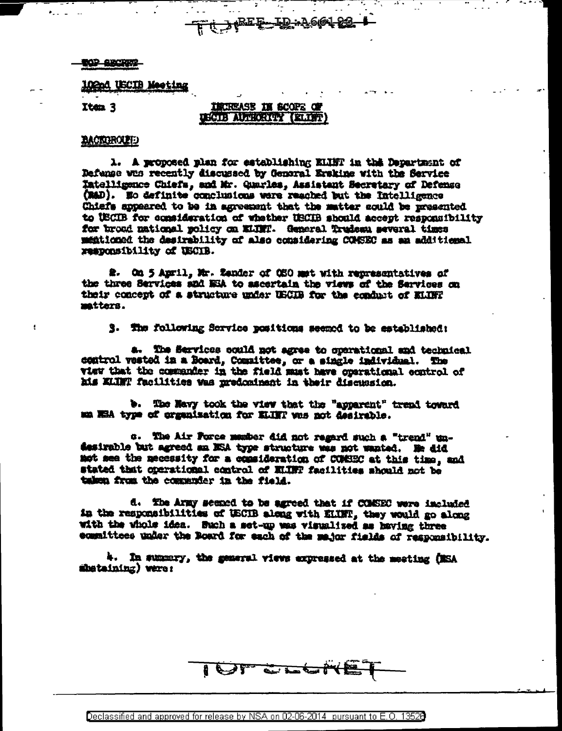### **TOP ABCREP**

**102nd USCIB Meeting** 

Item 3

# INCREASE IN SCOPE OF USCIB AUTHORITY (ELIST)

<u>-ID:A661-23-</u>

<del>`ऍ 入t<sup>RE</sup>F</del>

## **BACTOROLET**

1. A proposed plan for establishing ELINT in this Department of Dafanse was recently discussed by General Erskine with the Service Intelligance Chiefs, and Mr. Quarles, Assistant Secretary of Defense (MAD). Wo definite conclusions were reached but the Intelligence Chiefs appeared to be in agreement that the matter could be presented to USCIB for consideration of whether USCIB should accept responsibility for broad national policy on ELTET. General Trudesn several times mentioned the desirability of also considering COMSEC as an additional responsibility of USCIB.

2. On 5 April, Mr. Zender of OSO met with representatives of the three Services and NEA to ascertain the views of the Services on their concept of a structure under USCIB for the conduct of ELTEP matters.

3. The following Service positions seemed to be established:

a. The Services could not agree to operational and technical control vested in a Board, Committee, or a single individual. The view that the commander in the field must have operational control of his KLINT facilities was predominant in their discussion.

b. The Navy took the view that the "apparent" trend toward ma NEA type of organization for ELINT was not desirable.

c. The Air Force member did not regard such a "trend" undesirable but agreed an NSA type structure was not wanted. He did mot see the necessity for a consideration of COMSEC at this time, and stated that operational control of ELINT facilities should not be taken from the commenter in the field.

d. The Army seemed to be agreed that if COMSEC were included in the responsibilities of USCIB along with ELINT, they would go along with the vhole idea. Such a set-up was visualized as having three committees under the Board for each of the major fields of responsibility.

4. In summery, the general views expressed at the meeting (MSA shetaining) were:

I OT CLOSE

Declassified and approved for release by NSA on 02-06-2014 pursuant to E.O. 13526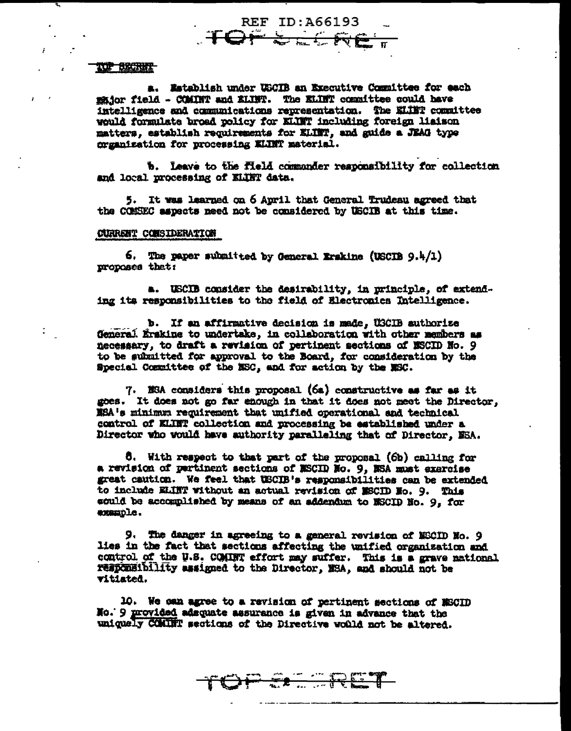#### TOP BECRET

a. Establish under USCIB an Executive Committee for each major field - COMINT and ELINT. The ELINT committee could have intelligence and communications representation. The ELIET committee would formulate broad policy for KLINT including foreign liaison matters, establish requirements for ELINT, and guide a JEAG type crganization for processing KLINT material.

**REF ID: A66193** 

**TOPSELR** 

b. Leave to the field commander responsibility for collection and local processing of ELINT data.

5. It was learned on 6 April that General Trudeau agreed that the COMSEC aspects need not be considered by USCIB at this time.

## CURRENT CONSIDERATION

6. The paper submitted by General Erskine (USCIB  $9.4/1$ ) proposes that:

a. USCIB consider the desirability, in principle, of extending its responsibilities to the field of Electronics Intelligence.

b. If an affirmative decision is made, USCIB authorize General Erskins to undertake, in collaboration with other members as necessary, to draft a revision of pertinent sections of NSCID No. 9 to be submitted for approval to the Board, for consideration by the Special Committee of the NSC, and for action by the NSC.

7. NSA considers this proposal (6a) constructive as far as it goes. It does not go far enough in that it does not meet the Director. XSA's minimum requirement that unified operational and technical control of KLINT collection and processing be established under a Director who would have authority paralleling that of Director. ESA.

6. With respect to that part of the proposal (6b) calling for a revision of pertinent sections of MSCID No. 9, MSA must exercise great caution. We feel that USCIB's responsibilities can be extended to include ELINT without an actual revision of MSCID No. 9. This sould be accomplished by means of an addendum to MSCID No. 9, for example.

9. The danger in agreeing to a general revision of NSCID No. 9 lies in the fact that sections affecting the unified organization and control of the U.S. COMINT effort may suffer. This is a grave national responsibility assigned to the Director, NSA, and should not be vitiated.

ER TRET

10. We can agree to a ravision of pertinent sections of MSCID No. 9 provided adsquate assurance is given in advance that the uniquely COMBIT sections of the Directive would not be altered.